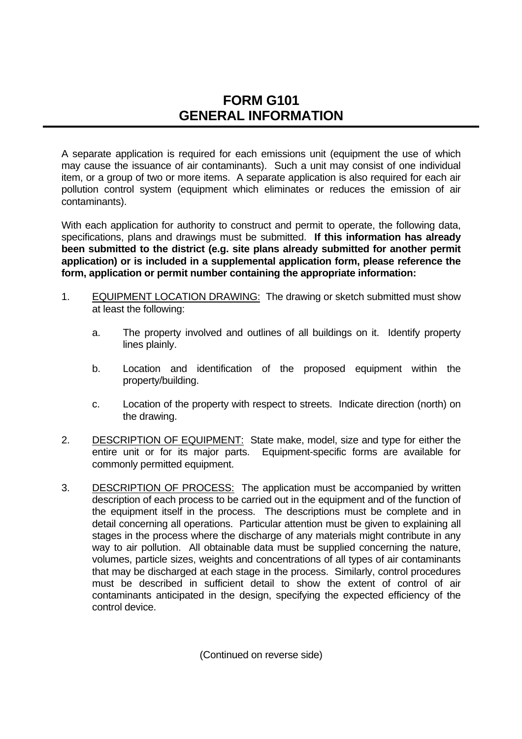## **FORM G101 GENERAL INFORMATION**

A separate application is required for each emissions unit (equipment the use of which may cause the issuance of air contaminants). Such a unit may consist of one individual item, or a group of two or more items. A separate application is also required for each air pollution control system (equipment which eliminates or reduces the emission of air contaminants).

With each application for authority to construct and permit to operate, the following data, specifications, plans and drawings must be submitted. **If this information has already been submitted to the district (e.g. site plans already submitted for another permit application) or is included in a supplemental application form, please reference the form, application or permit number containing the appropriate information:**

- 1. EQUIPMENT LOCATION DRAWING: The drawing or sketch submitted must show at least the following:
	- a. The property involved and outlines of all buildings on it. Identify property lines plainly.
	- b. Location and identification of the proposed equipment within the property/building.
	- c. Location of the property with respect to streets. Indicate direction (north) on the drawing.
- 2. DESCRIPTION OF EQUIPMENT: State make, model, size and type for either the entire unit or for its major parts. Equipment-specific forms are available for commonly permitted equipment.
- 3. DESCRIPTION OF PROCESS: The application must be accompanied by written description of each process to be carried out in the equipment and of the function of the equipment itself in the process. The descriptions must be complete and in detail concerning all operations. Particular attention must be given to explaining all stages in the process where the discharge of any materials might contribute in any way to air pollution. All obtainable data must be supplied concerning the nature, volumes, particle sizes, weights and concentrations of all types of air contaminants that may be discharged at each stage in the process. Similarly, control procedures must be described in sufficient detail to show the extent of control of air contaminants anticipated in the design, specifying the expected efficiency of the control device.

(Continued on reverse side)